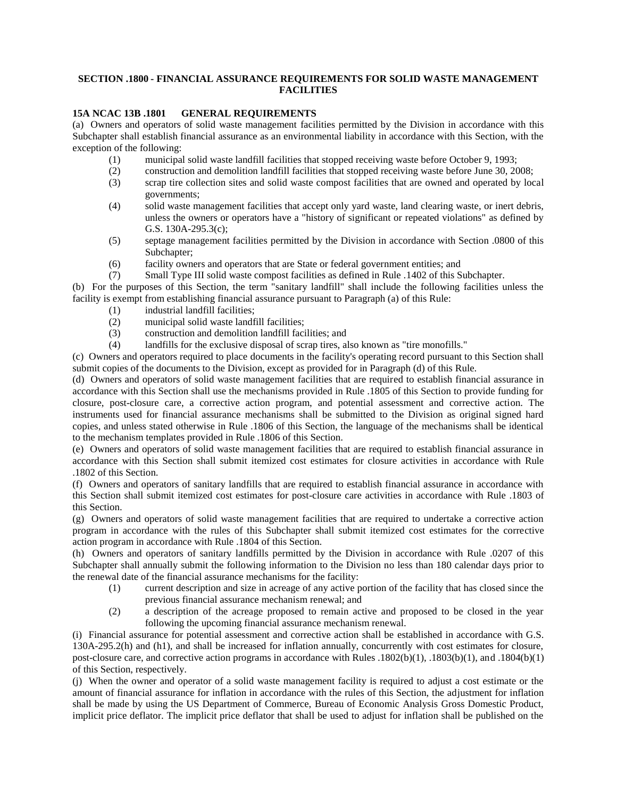## **SECTION .1800 - FINANCIAL ASSURANCE REQUIREMENTS FOR SOLID WASTE MANAGEMENT FACILITIES**

## **15A NCAC 13B .1801 GENERAL REQUIREMENTS**

(a) Owners and operators of solid waste management facilities permitted by the Division in accordance with this Subchapter shall establish financial assurance as an environmental liability in accordance with this Section, with the exception of the following:

- (1) municipal solid waste landfill facilities that stopped receiving waste before October 9, 1993;
- (2) construction and demolition landfill facilities that stopped receiving waste before June 30, 2008;
- (3) scrap tire collection sites and solid waste compost facilities that are owned and operated by local governments;
- (4) solid waste management facilities that accept only yard waste, land clearing waste, or inert debris, unless the owners or operators have a "history of significant or repeated violations" as defined by G.S. 130A-295.3(c);
- (5) septage management facilities permitted by the Division in accordance with Section .0800 of this Subchapter;
- (6) facility owners and operators that are State or federal government entities; and
- (7) Small Type III solid waste compost facilities as defined in Rule .1402 of this Subchapter.

(b) For the purposes of this Section, the term "sanitary landfill" shall include the following facilities unless the facility is exempt from establishing financial assurance pursuant to Paragraph (a) of this Rule:

- (1) industrial landfill facilities;
- (2) municipal solid waste landfill facilities;
- (3) construction and demolition landfill facilities; and
- (4) landfills for the exclusive disposal of scrap tires, also known as "tire monofills."

(c) Owners and operators required to place documents in the facility's operating record pursuant to this Section shall submit copies of the documents to the Division, except as provided for in Paragraph (d) of this Rule.

(d) Owners and operators of solid waste management facilities that are required to establish financial assurance in accordance with this Section shall use the mechanisms provided in Rule .1805 of this Section to provide funding for closure, post-closure care, a corrective action program, and potential assessment and corrective action. The instruments used for financial assurance mechanisms shall be submitted to the Division as original signed hard copies, and unless stated otherwise in Rule .1806 of this Section, the language of the mechanisms shall be identical to the mechanism templates provided in Rule .1806 of this Section.

(e) Owners and operators of solid waste management facilities that are required to establish financial assurance in accordance with this Section shall submit itemized cost estimates for closure activities in accordance with Rule .1802 of this Section.

(f) Owners and operators of sanitary landfills that are required to establish financial assurance in accordance with this Section shall submit itemized cost estimates for post-closure care activities in accordance with Rule .1803 of this Section.

(g) Owners and operators of solid waste management facilities that are required to undertake a corrective action program in accordance with the rules of this Subchapter shall submit itemized cost estimates for the corrective action program in accordance with Rule .1804 of this Section.

(h) Owners and operators of sanitary landfills permitted by the Division in accordance with Rule .0207 of this Subchapter shall annually submit the following information to the Division no less than 180 calendar days prior to the renewal date of the financial assurance mechanisms for the facility:

- (1) current description and size in acreage of any active portion of the facility that has closed since the previous financial assurance mechanism renewal; and
- (2) a description of the acreage proposed to remain active and proposed to be closed in the year following the upcoming financial assurance mechanism renewal.

(i) Financial assurance for potential assessment and corrective action shall be established in accordance with G.S. 130A-295.2(h) and (h1), and shall be increased for inflation annually, concurrently with cost estimates for closure, post-closure care, and corrective action programs in accordance with Rules .1802(b)(1), .1803(b)(1), and .1804(b)(1) of this Section, respectively.

(j) When the owner and operator of a solid waste management facility is required to adjust a cost estimate or the amount of financial assurance for inflation in accordance with the rules of this Section, the adjustment for inflation shall be made by using the US Department of Commerce, Bureau of Economic Analysis Gross Domestic Product, implicit price deflator. The implicit price deflator that shall be used to adjust for inflation shall be published on the